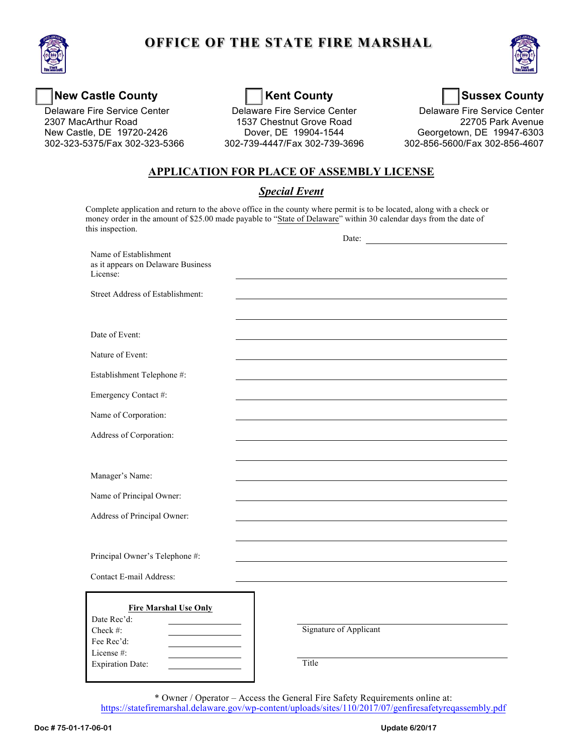

# **OFFICE OF THE STATE FIRE MARSHAL**



## New Castle County **New Castle County** Kent County **New Castle County**

Delaware Fire Service Center<br>2307 MacArthur Road New Castle, DE 19720-2426

Delaware Fire Service Center **Delaware Fire Service Center Delaware Fire Service Center** Dover, DE 19904-1544 New Castle, DE 19720-2426 Dover, DE 19904-1544 Georgetown, DE 19947-6303 1537 Chestnut Grove Road 302-323-5375/Fax 302-323-5366 302-739-4447/Fax 302-739-3696 302-856-5600/Fax 302-856-4607

Delaware Fire Service Center<br>22705 Park Avenue

### **APPLICATION FOR PLACE OF ASSEMBLY LICENSE**

#### *Special Event*

 Complete application and return to the above office in the county where permit is to be located, along with a check or money order in the amount of \$25.00 made payable to "State of Delaware" within 30 calendar days from the date of this inspection.  $\mathbf{D}_{\alpha t}$ 

|                                                                         | Date:                  |
|-------------------------------------------------------------------------|------------------------|
| Name of Establishment<br>as it appears on Delaware Business<br>License: |                        |
| Street Address of Establishment:                                        |                        |
|                                                                         |                        |
| Date of Event:                                                          |                        |
| Nature of Event:                                                        |                        |
| Establishment Telephone #:                                              |                        |
| Emergency Contact #:                                                    |                        |
| Name of Corporation:                                                    |                        |
| Address of Corporation:                                                 |                        |
|                                                                         |                        |
| Manager's Name:                                                         |                        |
| Name of Principal Owner:                                                |                        |
| Address of Principal Owner:                                             |                        |
|                                                                         |                        |
| Principal Owner's Telephone #:                                          |                        |
| Contact E-mail Address:                                                 |                        |
| <b>Fire Marshal Use Only</b><br>Date Rec'd:                             |                        |
| Check #:<br>Fee Rec'd:                                                  | Signature of Applicant |
| License #:                                                              | Title                  |
| <b>Expiration Date:</b>                                                 |                        |

\* Owner / Operator – Access the General Fire Safety Requirements online at: <https://statefiremarshal.delaware.gov/wp-content/uploads/sites/110/2017/07/genfiresafetyreqassembly.pdf>